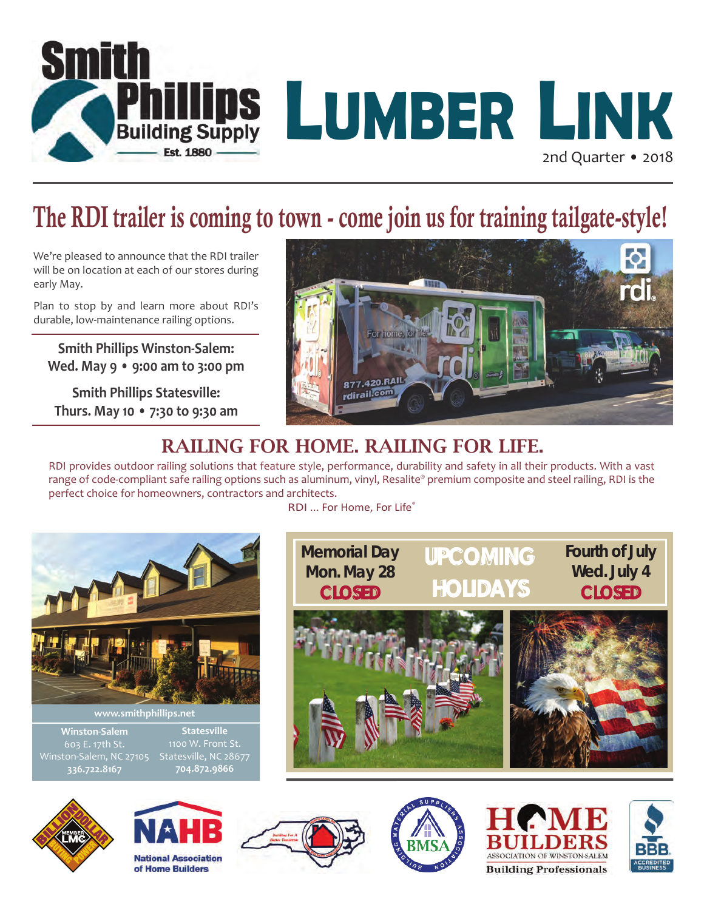

## The RDI trailer is coming to town - come join us for training tailgate-style!

We're pleased to announce that the RDI trailer will be on location at each of our stores during early May.

Plan to stop by and learn more about RDI's durable, low-maintenance railing options.

**Smith Phillips Winston-Salem: Wed. May 9 • 9:00 am to 3:00 pm**

**Smith Phillips Statesville: Thurs. May 10 • 7:30 to 9:30 am**



### RAILING FOR HOME. RAILING FOR LIFE.

RDI provides outdoor railing solutions that feature style, performance, durability and safety in all their products. With a vast range of code-compliant safe railing options such as aluminum, vinyl, Resalite® premium composite and steel railing, RDI is the perfect choice for homeowners, contractors and architects.

RDI ... For Home, For Life®













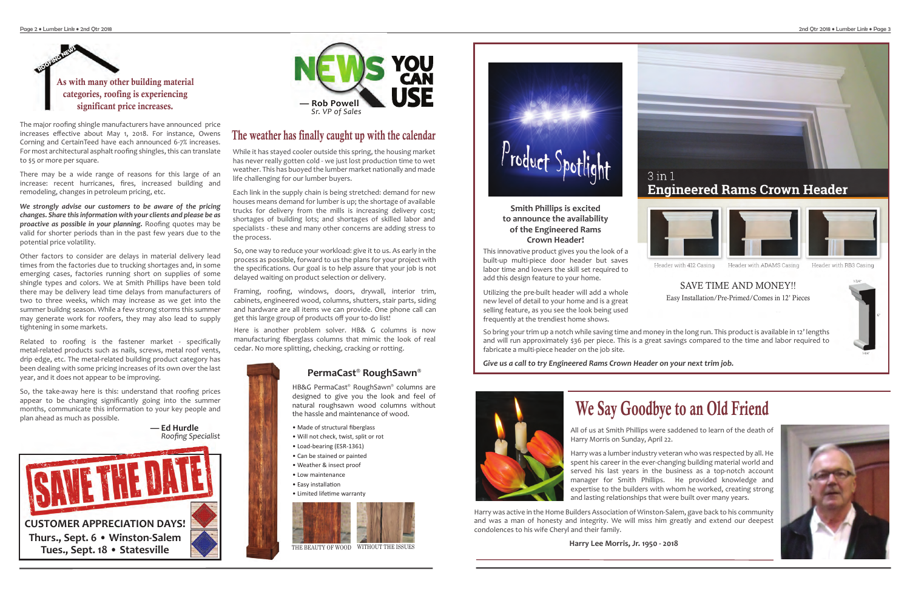

The major roofing shingle manufacturers have announced price increases effective about May 1, 2018. For instance, Owens Corning and CertainTeed have each announced 6-7% increases. For most architectural asphalt roofing shingles, this can translate to \$5 or more per square.

There may be a wide range of reasons for this large of an increase: recent hurricanes, fires, increased building and remodeling, changes in petroleum pricing, etc.

*We strongly advise our customers to be aware of the pricing changes. Share this information with your clients and please be as proactive as possible in your planning.* Roofing quotes may be valid for shorter periods than in the past few years due to the potential price volatility.

Other factors to consider are delays in material delivery lead times from the factories due to trucking shortages and, in some emerging cases, factories running short on supplies of some shingle types and colors. We at Smith Phillips have been told there may be delivery lead time delays from manufacturers of two to three weeks, which may increase as we get into the summer buildng season. While a few strong storms this summer may generate work for roofers, they may also lead to supply tightening in some markets.



**— Ed Hurdle** *Roofing Specialist*

Related to roofing is the fastener market - specifically metal-related products such as nails, screws, metal roof vents, drip edge, etc. The metal-related building product category has been dealing with some pricing increases of its own over the last year, and it does not appear to be improving.

So, the take-away here is this: understand that roofing prices appear to be changing significantly going into the summer months, communicate this information to your key people and plan ahead as much as possible.

This innovative product gives you the look of a built-up multi-piece door header but saves labor time and lowers the skill set required to add this design feature to your home.

- Made of structural fiberglass
- Will not check, twist, split or rot
- Load-bearing (ESR-1361)
- Can be stained or painted
- Weather & insect proof
- Low maintenance
- Easy installation
- Limited lifetime warranty



Utilizing the pre-built header will add a whole new level of detail to your home and is a great selling feature, as you see the look being used frequently at the trendiest home shows.

So bring your trim up a notch while saving time and money in the long run. This product is available in 12' lengths and will run approximately \$36 per piece. This is a great savings compared to the time and labor required to fabricate a multi-piece header on the job site.

*Give us a call to try Engineered Rams Crown Header on your next trim job.*



# We Say Goodbye to an Old Friend

All of us at Smith Phillips were saddened to learn of the death of Harry Morris on Sunday, April 22.

Harry was a lumber industry veteran who was respected by all. He spent his career in the ever-changing building material world and served his last years in the business as a top-notch account manager for Smith Phillips. He provided knowledge and expertise to the builders with whom he worked, creating strong and lasting relationships that were built over many years.

Harry was active in the Home Builders Association of Winston-Salem, gave back to his community and was a man of honesty and integrity. We will miss him greatly and extend our deepest condolences to his wife Cheryl and their family.

**Harry Lee Morris, Jr. 1950 - 2018**

#### **Smith Phillips is excited to announce the availability of the Engineered Rams Crown Header!**

While it has stayed cooler outside this spring, the housing market has never really gotten cold - we just lost production time to wet weather. This has buoyed the lumber market nationally and made life challenging for our lumber buyers.

Each link in the supply chain is being stretched: demand for new houses means demand for lumber is up; the shortage of available trucks for delivery from the mills is increasing delivery cost; shortages of building lots; and shortages of skilled labor and specialists - these and many other concerns are adding stress to the process.

Here is another problem solver. HB& G columns is now manufacturing fiberglass columns that mimic the look of real cedar. No more splitting, checking, cracking or rotting.



THE BEAUTY OF WOOD WITHOUT THE ISSUES



HB&G PermaCast® RoughSawn® columns are designed to give you the look and feel of natural roughsawn wood columns without the hassle and maintenance of wood.

#### **PermaCast® RoughSawn®**

So, one way to reduce your workload: give it to us. As early in the process as possible, forward to us the plans for your project with the specifications. Our goal is to help assure that your job is not delayed waiting on product selection or delivery.

Framing, roofing, windows, doors, drywall, interior trim, cabinets, engineered wood, columns, shutters, stair parts, siding and hardware are all items we can provide. One phone call can get this large group of products off your to-do list!

### The weather has finally caught up with the calendar